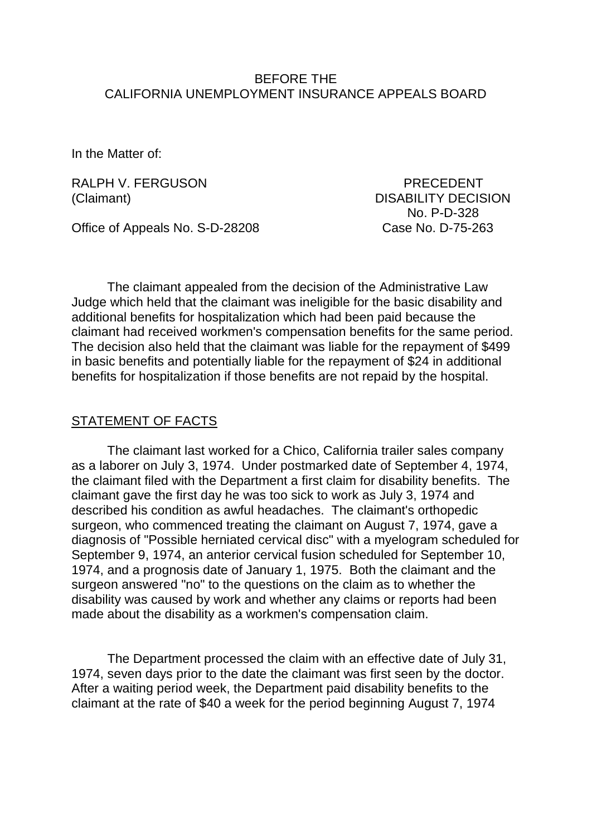### BEFORE THE CALIFORNIA UNEMPLOYMENT INSURANCE APPEALS BOARD

In the Matter of:

RALPH V. FERGUSON PRECEDENT

(Claimant) DISABILITY DECISION No. P-D-328

Office of Appeals No. S-D-28208 Case No. D-75-263

The claimant appealed from the decision of the Administrative Law Judge which held that the claimant was ineligible for the basic disability and additional benefits for hospitalization which had been paid because the claimant had received workmen's compensation benefits for the same period. The decision also held that the claimant was liable for the repayment of \$499 in basic benefits and potentially liable for the repayment of \$24 in additional benefits for hospitalization if those benefits are not repaid by the hospital.

#### STATEMENT OF FACTS

The claimant last worked for a Chico, California trailer sales company as a laborer on July 3, 1974. Under postmarked date of September 4, 1974, the claimant filed with the Department a first claim for disability benefits. The claimant gave the first day he was too sick to work as July 3, 1974 and described his condition as awful headaches. The claimant's orthopedic surgeon, who commenced treating the claimant on August 7, 1974, gave a diagnosis of "Possible herniated cervical disc" with a myelogram scheduled for September 9, 1974, an anterior cervical fusion scheduled for September 10, 1974, and a prognosis date of January 1, 1975. Both the claimant and the surgeon answered "no" to the questions on the claim as to whether the disability was caused by work and whether any claims or reports had been made about the disability as a workmen's compensation claim.

The Department processed the claim with an effective date of July 31, 1974, seven days prior to the date the claimant was first seen by the doctor. After a waiting period week, the Department paid disability benefits to the claimant at the rate of \$40 a week for the period beginning August 7, 1974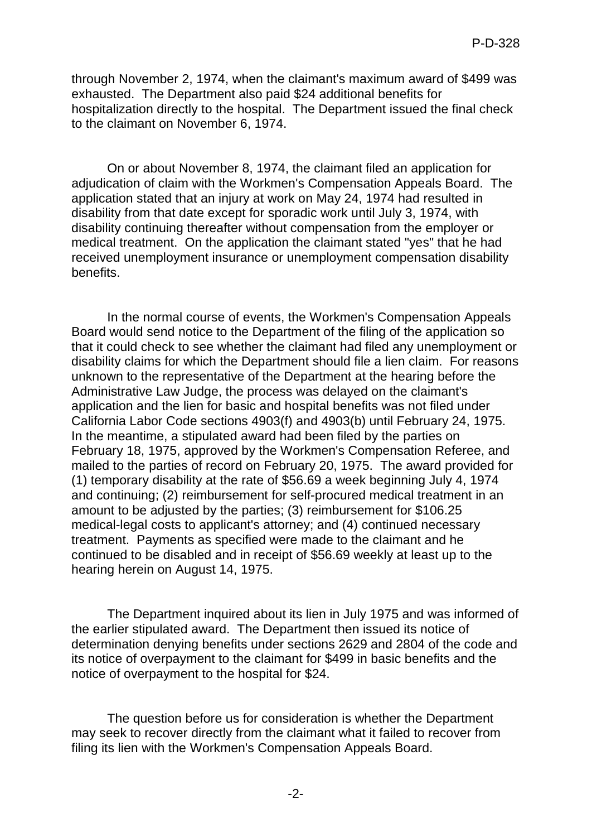through November 2, 1974, when the claimant's maximum award of \$499 was exhausted. The Department also paid \$24 additional benefits for hospitalization directly to the hospital. The Department issued the final check to the claimant on November 6, 1974.

On or about November 8, 1974, the claimant filed an application for adjudication of claim with the Workmen's Compensation Appeals Board. The application stated that an injury at work on May 24, 1974 had resulted in disability from that date except for sporadic work until July 3, 1974, with disability continuing thereafter without compensation from the employer or medical treatment. On the application the claimant stated "yes" that he had received unemployment insurance or unemployment compensation disability benefits.

In the normal course of events, the Workmen's Compensation Appeals Board would send notice to the Department of the filing of the application so that it could check to see whether the claimant had filed any unemployment or disability claims for which the Department should file a lien claim. For reasons unknown to the representative of the Department at the hearing before the Administrative Law Judge, the process was delayed on the claimant's application and the lien for basic and hospital benefits was not filed under California Labor Code sections 4903(f) and 4903(b) until February 24, 1975. In the meantime, a stipulated award had been filed by the parties on February 18, 1975, approved by the Workmen's Compensation Referee, and mailed to the parties of record on February 20, 1975. The award provided for (1) temporary disability at the rate of \$56.69 a week beginning July 4, 1974 and continuing; (2) reimbursement for self-procured medical treatment in an amount to be adjusted by the parties; (3) reimbursement for \$106.25 medical-legal costs to applicant's attorney; and (4) continued necessary treatment. Payments as specified were made to the claimant and he continued to be disabled and in receipt of \$56.69 weekly at least up to the hearing herein on August 14, 1975.

The Department inquired about its lien in July 1975 and was informed of the earlier stipulated award. The Department then issued its notice of determination denying benefits under sections 2629 and 2804 of the code and its notice of overpayment to the claimant for \$499 in basic benefits and the notice of overpayment to the hospital for \$24.

The question before us for consideration is whether the Department may seek to recover directly from the claimant what it failed to recover from filing its lien with the Workmen's Compensation Appeals Board.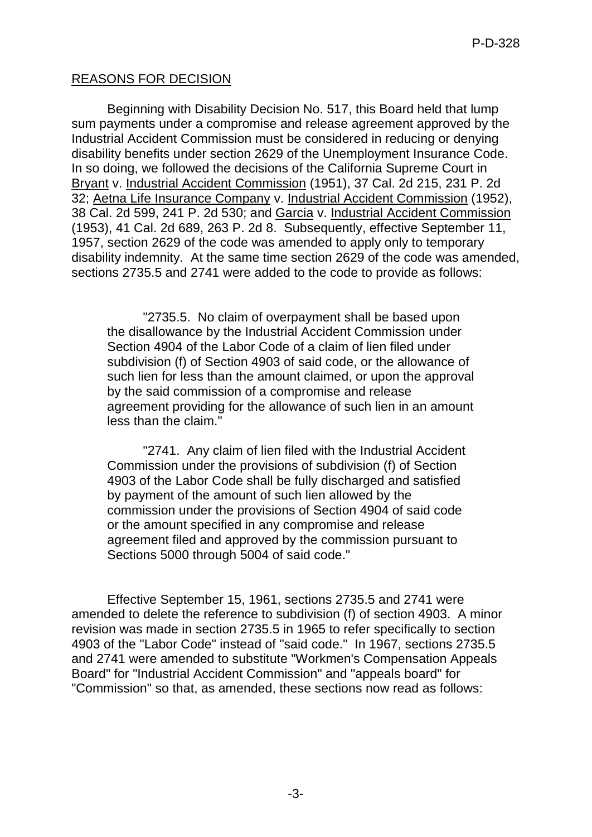# REASONS FOR DECISION

Beginning with Disability Decision No. 517, this Board held that lump sum payments under a compromise and release agreement approved by the Industrial Accident Commission must be considered in reducing or denying disability benefits under section 2629 of the Unemployment Insurance Code. In so doing, we followed the decisions of the California Supreme Court in Bryant v. Industrial Accident Commission (1951), 37 Cal. 2d 215, 231 P. 2d 32; Aetna Life Insurance Company v. Industrial Accident Commission (1952), 38 Cal. 2d 599, 241 P. 2d 530; and Garcia v. Industrial Accident Commission (1953), 41 Cal. 2d 689, 263 P. 2d 8. Subsequently, effective September 11, 1957, section 2629 of the code was amended to apply only to temporary disability indemnity. At the same time section 2629 of the code was amended, sections 2735.5 and 2741 were added to the code to provide as follows:

"2735.5. No claim of overpayment shall be based upon the disallowance by the Industrial Accident Commission under Section 4904 of the Labor Code of a claim of lien filed under subdivision (f) of Section 4903 of said code, or the allowance of such lien for less than the amount claimed, or upon the approval by the said commission of a compromise and release agreement providing for the allowance of such lien in an amount less than the claim."

"2741. Any claim of lien filed with the Industrial Accident Commission under the provisions of subdivision (f) of Section 4903 of the Labor Code shall be fully discharged and satisfied by payment of the amount of such lien allowed by the commission under the provisions of Section 4904 of said code or the amount specified in any compromise and release agreement filed and approved by the commission pursuant to Sections 5000 through 5004 of said code."

Effective September 15, 1961, sections 2735.5 and 2741 were amended to delete the reference to subdivision (f) of section 4903. A minor revision was made in section 2735.5 in 1965 to refer specifically to section 4903 of the "Labor Code" instead of "said code." In 1967, sections 2735.5 and 2741 were amended to substitute "Workmen's Compensation Appeals Board" for "Industrial Accident Commission" and "appeals board" for "Commission" so that, as amended, these sections now read as follows: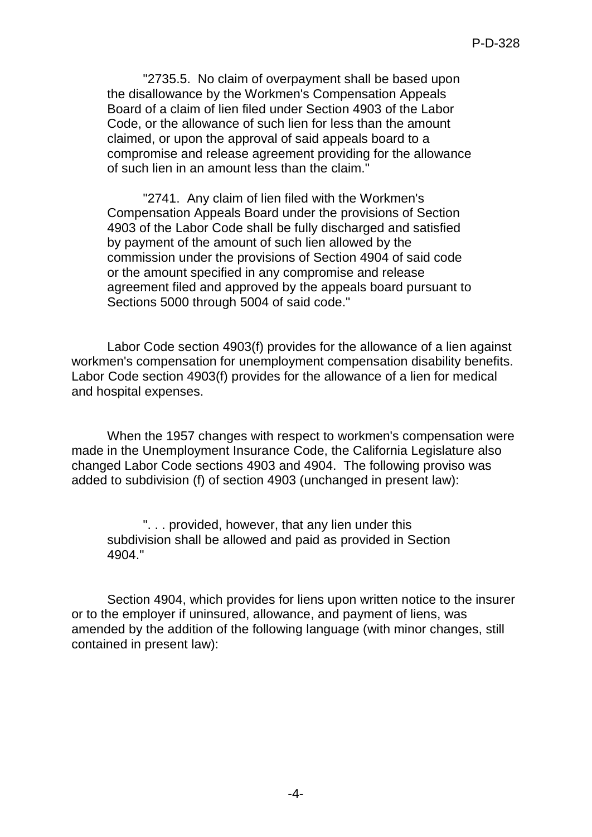"2735.5. No claim of overpayment shall be based upon the disallowance by the Workmen's Compensation Appeals Board of a claim of lien filed under Section 4903 of the Labor Code, or the allowance of such lien for less than the amount claimed, or upon the approval of said appeals board to a compromise and release agreement providing for the allowance of such lien in an amount less than the claim."

"2741. Any claim of lien filed with the Workmen's Compensation Appeals Board under the provisions of Section 4903 of the Labor Code shall be fully discharged and satisfied by payment of the amount of such lien allowed by the commission under the provisions of Section 4904 of said code or the amount specified in any compromise and release agreement filed and approved by the appeals board pursuant to Sections 5000 through 5004 of said code."

Labor Code section 4903(f) provides for the allowance of a lien against workmen's compensation for unemployment compensation disability benefits. Labor Code section 4903(f) provides for the allowance of a lien for medical and hospital expenses.

When the 1957 changes with respect to workmen's compensation were made in the Unemployment Insurance Code, the California Legislature also changed Labor Code sections 4903 and 4904. The following proviso was added to subdivision (f) of section 4903 (unchanged in present law):

". . . provided, however, that any lien under this subdivision shall be allowed and paid as provided in Section 4904."

Section 4904, which provides for liens upon written notice to the insurer or to the employer if uninsured, allowance, and payment of liens, was amended by the addition of the following language (with minor changes, still contained in present law):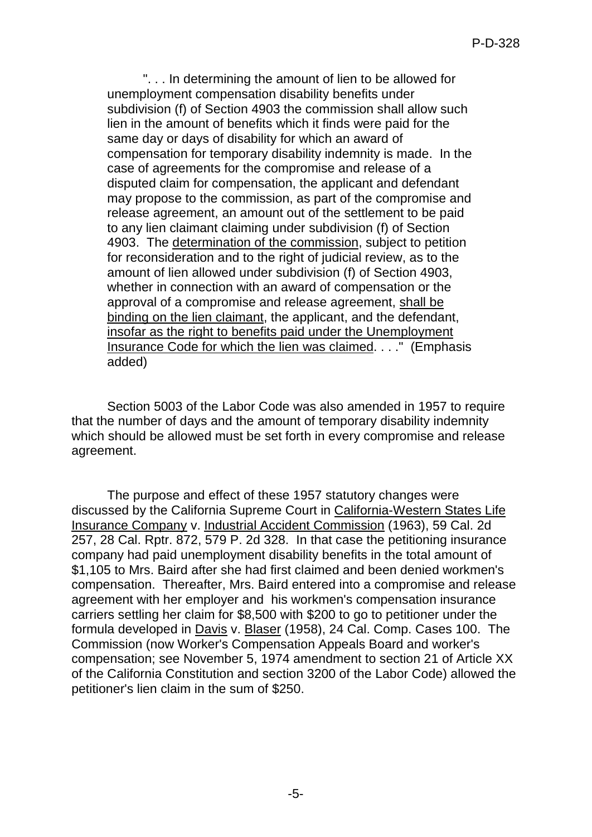". . . In determining the amount of lien to be allowed for unemployment compensation disability benefits under subdivision (f) of Section 4903 the commission shall allow such lien in the amount of benefits which it finds were paid for the same day or days of disability for which an award of compensation for temporary disability indemnity is made. In the case of agreements for the compromise and release of a disputed claim for compensation, the applicant and defendant may propose to the commission, as part of the compromise and release agreement, an amount out of the settlement to be paid to any lien claimant claiming under subdivision (f) of Section 4903. The determination of the commission, subject to petition for reconsideration and to the right of judicial review, as to the amount of lien allowed under subdivision (f) of Section 4903, whether in connection with an award of compensation or the approval of a compromise and release agreement, shall be binding on the lien claimant, the applicant, and the defendant, insofar as the right to benefits paid under the Unemployment Insurance Code for which the lien was claimed. . . ." (Emphasis added)

Section 5003 of the Labor Code was also amended in 1957 to require that the number of days and the amount of temporary disability indemnity which should be allowed must be set forth in every compromise and release agreement.

The purpose and effect of these 1957 statutory changes were discussed by the California Supreme Court in California-Western States Life Insurance Company v. Industrial Accident Commission (1963), 59 Cal. 2d 257, 28 Cal. Rptr. 872, 579 P. 2d 328. In that case the petitioning insurance company had paid unemployment disability benefits in the total amount of \$1,105 to Mrs. Baird after she had first claimed and been denied workmen's compensation. Thereafter, Mrs. Baird entered into a compromise and release agreement with her employer and his workmen's compensation insurance carriers settling her claim for \$8,500 with \$200 to go to petitioner under the formula developed in Davis v. Blaser (1958), 24 Cal. Comp. Cases 100. The Commission (now Worker's Compensation Appeals Board and worker's compensation; see November 5, 1974 amendment to section 21 of Article XX of the California Constitution and section 3200 of the Labor Code) allowed the petitioner's lien claim in the sum of \$250.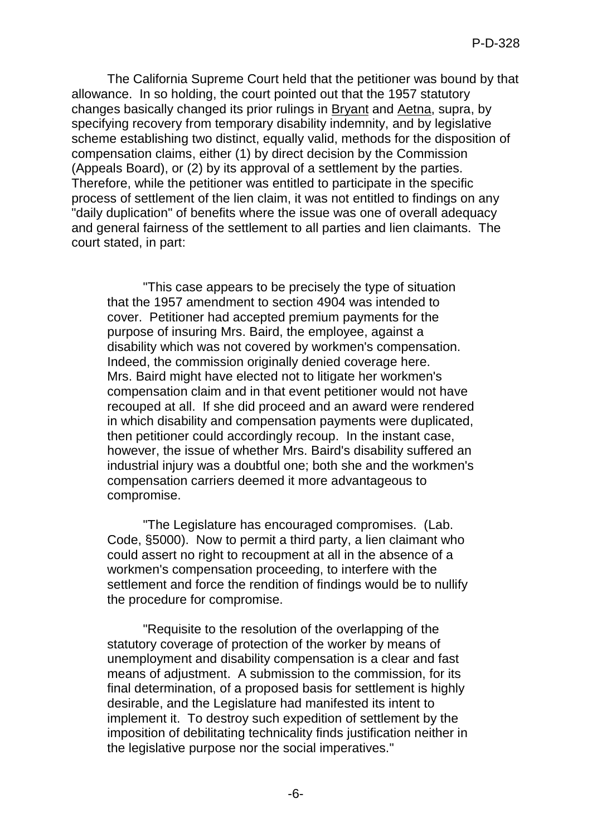The California Supreme Court held that the petitioner was bound by that allowance. In so holding, the court pointed out that the 1957 statutory changes basically changed its prior rulings in Bryant and Aetna, supra, by specifying recovery from temporary disability indemnity, and by legislative scheme establishing two distinct, equally valid, methods for the disposition of compensation claims, either (1) by direct decision by the Commission (Appeals Board), or (2) by its approval of a settlement by the parties. Therefore, while the petitioner was entitled to participate in the specific process of settlement of the lien claim, it was not entitled to findings on any "daily duplication" of benefits where the issue was one of overall adequacy and general fairness of the settlement to all parties and lien claimants. The court stated, in part:

"This case appears to be precisely the type of situation that the 1957 amendment to section 4904 was intended to cover. Petitioner had accepted premium payments for the purpose of insuring Mrs. Baird, the employee, against a disability which was not covered by workmen's compensation. Indeed, the commission originally denied coverage here. Mrs. Baird might have elected not to litigate her workmen's compensation claim and in that event petitioner would not have recouped at all. If she did proceed and an award were rendered in which disability and compensation payments were duplicated, then petitioner could accordingly recoup. In the instant case, however, the issue of whether Mrs. Baird's disability suffered an industrial injury was a doubtful one; both she and the workmen's compensation carriers deemed it more advantageous to compromise.

"The Legislature has encouraged compromises. (Lab. Code, §5000). Now to permit a third party, a lien claimant who could assert no right to recoupment at all in the absence of a workmen's compensation proceeding, to interfere with the settlement and force the rendition of findings would be to nullify the procedure for compromise.

"Requisite to the resolution of the overlapping of the statutory coverage of protection of the worker by means of unemployment and disability compensation is a clear and fast means of adjustment. A submission to the commission, for its final determination, of a proposed basis for settlement is highly desirable, and the Legislature had manifested its intent to implement it. To destroy such expedition of settlement by the imposition of debilitating technicality finds justification neither in the legislative purpose nor the social imperatives."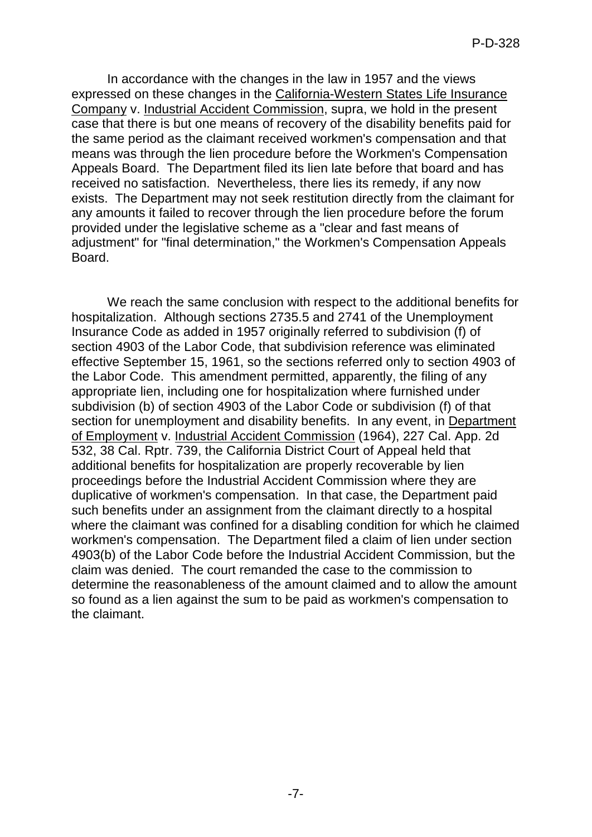In accordance with the changes in the law in 1957 and the views expressed on these changes in the California-Western States Life Insurance Company v. Industrial Accident Commission, supra, we hold in the present case that there is but one means of recovery of the disability benefits paid for the same period as the claimant received workmen's compensation and that means was through the lien procedure before the Workmen's Compensation Appeals Board. The Department filed its lien late before that board and has received no satisfaction. Nevertheless, there lies its remedy, if any now exists. The Department may not seek restitution directly from the claimant for any amounts it failed to recover through the lien procedure before the forum provided under the legislative scheme as a "clear and fast means of adjustment" for "final determination," the Workmen's Compensation Appeals Board.

We reach the same conclusion with respect to the additional benefits for hospitalization. Although sections 2735.5 and 2741 of the Unemployment Insurance Code as added in 1957 originally referred to subdivision (f) of section 4903 of the Labor Code, that subdivision reference was eliminated effective September 15, 1961, so the sections referred only to section 4903 of the Labor Code. This amendment permitted, apparently, the filing of any appropriate lien, including one for hospitalization where furnished under subdivision (b) of section 4903 of the Labor Code or subdivision (f) of that section for unemployment and disability benefits. In any event, in Department of Employment v. Industrial Accident Commission (1964), 227 Cal. App. 2d 532, 38 Cal. Rptr. 739, the California District Court of Appeal held that additional benefits for hospitalization are properly recoverable by lien proceedings before the Industrial Accident Commission where they are duplicative of workmen's compensation. In that case, the Department paid such benefits under an assignment from the claimant directly to a hospital where the claimant was confined for a disabling condition for which he claimed workmen's compensation. The Department filed a claim of lien under section 4903(b) of the Labor Code before the Industrial Accident Commission, but the claim was denied. The court remanded the case to the commission to determine the reasonableness of the amount claimed and to allow the amount so found as a lien against the sum to be paid as workmen's compensation to the claimant.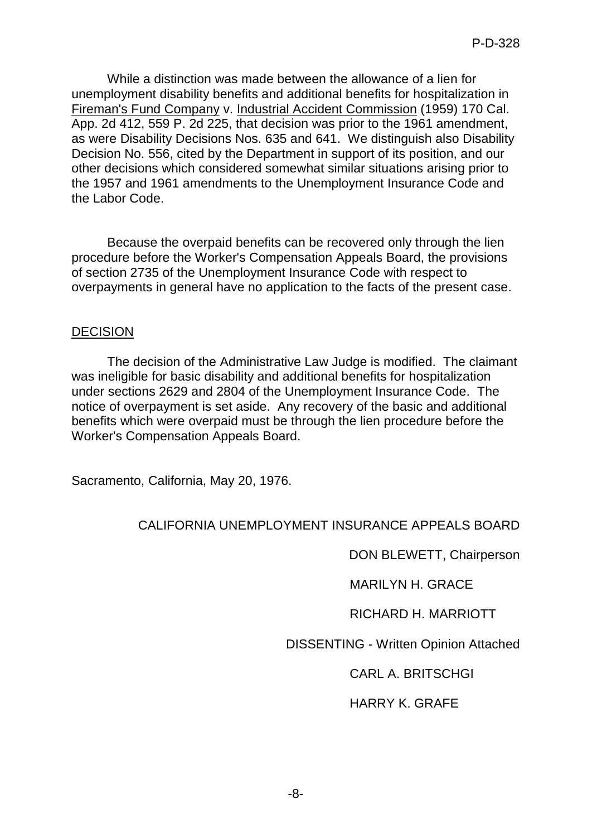While a distinction was made between the allowance of a lien for unemployment disability benefits and additional benefits for hospitalization in Fireman's Fund Company v. Industrial Accident Commission (1959) 170 Cal. App. 2d 412, 559 P. 2d 225, that decision was prior to the 1961 amendment, as were Disability Decisions Nos. 635 and 641. We distinguish also Disability Decision No. 556, cited by the Department in support of its position, and our other decisions which considered somewhat similar situations arising prior to the 1957 and 1961 amendments to the Unemployment Insurance Code and the Labor Code.

Because the overpaid benefits can be recovered only through the lien procedure before the Worker's Compensation Appeals Board, the provisions of section 2735 of the Unemployment Insurance Code with respect to overpayments in general have no application to the facts of the present case.

# **DECISION**

The decision of the Administrative Law Judge is modified. The claimant was ineligible for basic disability and additional benefits for hospitalization under sections 2629 and 2804 of the Unemployment Insurance Code. The notice of overpayment is set aside. Any recovery of the basic and additional benefits which were overpaid must be through the lien procedure before the Worker's Compensation Appeals Board.

Sacramento, California, May 20, 1976.

# CALIFORNIA UNEMPLOYMENT INSURANCE APPEALS BOARD

DON BLEWETT, Chairperson

MARILYN H. GRACE

RICHARD H. MARRIOTT

DISSENTING - Written Opinion Attached

CARL A. BRITSCHGI

# HARRY K. GRAFE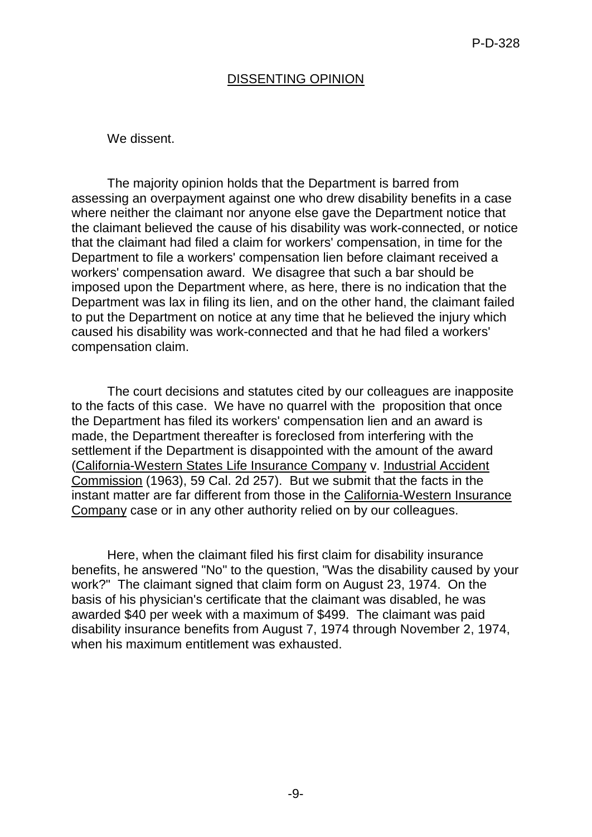# DISSENTING OPINION

We dissent.

The majority opinion holds that the Department is barred from assessing an overpayment against one who drew disability benefits in a case where neither the claimant nor anyone else gave the Department notice that the claimant believed the cause of his disability was work-connected, or notice that the claimant had filed a claim for workers' compensation, in time for the Department to file a workers' compensation lien before claimant received a workers' compensation award. We disagree that such a bar should be imposed upon the Department where, as here, there is no indication that the Department was lax in filing its lien, and on the other hand, the claimant failed to put the Department on notice at any time that he believed the injury which caused his disability was work-connected and that he had filed a workers' compensation claim.

The court decisions and statutes cited by our colleagues are inapposite to the facts of this case. We have no quarrel with the proposition that once the Department has filed its workers' compensation lien and an award is made, the Department thereafter is foreclosed from interfering with the settlement if the Department is disappointed with the amount of the award (California-Western States Life Insurance Company v. Industrial Accident Commission (1963), 59 Cal. 2d 257). But we submit that the facts in the instant matter are far different from those in the California-Western Insurance Company case or in any other authority relied on by our colleagues.

Here, when the claimant filed his first claim for disability insurance benefits, he answered "No" to the question, "Was the disability caused by your work?" The claimant signed that claim form on August 23, 1974. On the basis of his physician's certificate that the claimant was disabled, he was awarded \$40 per week with a maximum of \$499. The claimant was paid disability insurance benefits from August 7, 1974 through November 2, 1974, when his maximum entitlement was exhausted.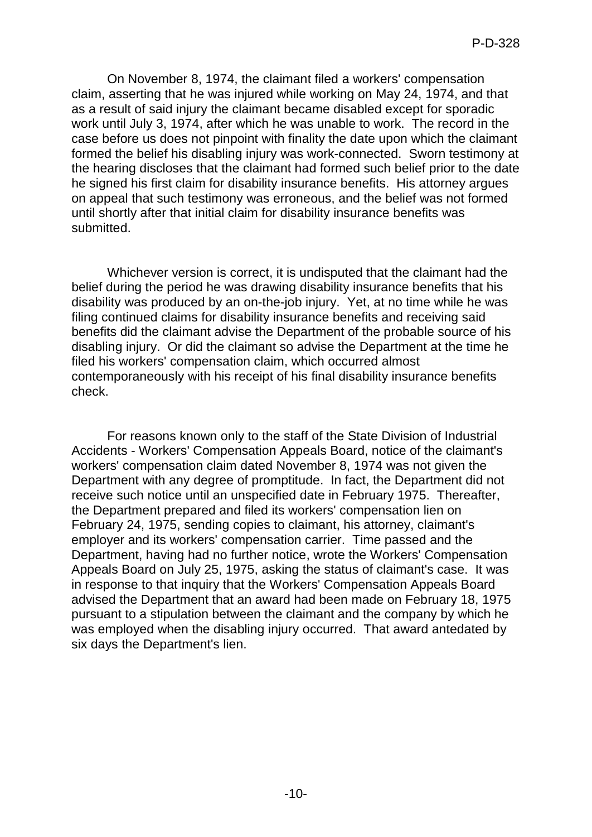On November 8, 1974, the claimant filed a workers' compensation claim, asserting that he was injured while working on May 24, 1974, and that as a result of said injury the claimant became disabled except for sporadic work until July 3, 1974, after which he was unable to work. The record in the case before us does not pinpoint with finality the date upon which the claimant formed the belief his disabling injury was work-connected. Sworn testimony at the hearing discloses that the claimant had formed such belief prior to the date he signed his first claim for disability insurance benefits. His attorney argues on appeal that such testimony was erroneous, and the belief was not formed until shortly after that initial claim for disability insurance benefits was submitted.

Whichever version is correct, it is undisputed that the claimant had the belief during the period he was drawing disability insurance benefits that his disability was produced by an on-the-job injury. Yet, at no time while he was filing continued claims for disability insurance benefits and receiving said benefits did the claimant advise the Department of the probable source of his disabling injury. Or did the claimant so advise the Department at the time he filed his workers' compensation claim, which occurred almost contemporaneously with his receipt of his final disability insurance benefits check.

For reasons known only to the staff of the State Division of Industrial Accidents - Workers' Compensation Appeals Board, notice of the claimant's workers' compensation claim dated November 8, 1974 was not given the Department with any degree of promptitude. In fact, the Department did not receive such notice until an unspecified date in February 1975. Thereafter, the Department prepared and filed its workers' compensation lien on February 24, 1975, sending copies to claimant, his attorney, claimant's employer and its workers' compensation carrier. Time passed and the Department, having had no further notice, wrote the Workers' Compensation Appeals Board on July 25, 1975, asking the status of claimant's case. It was in response to that inquiry that the Workers' Compensation Appeals Board advised the Department that an award had been made on February 18, 1975 pursuant to a stipulation between the claimant and the company by which he was employed when the disabling injury occurred. That award antedated by six days the Department's lien.